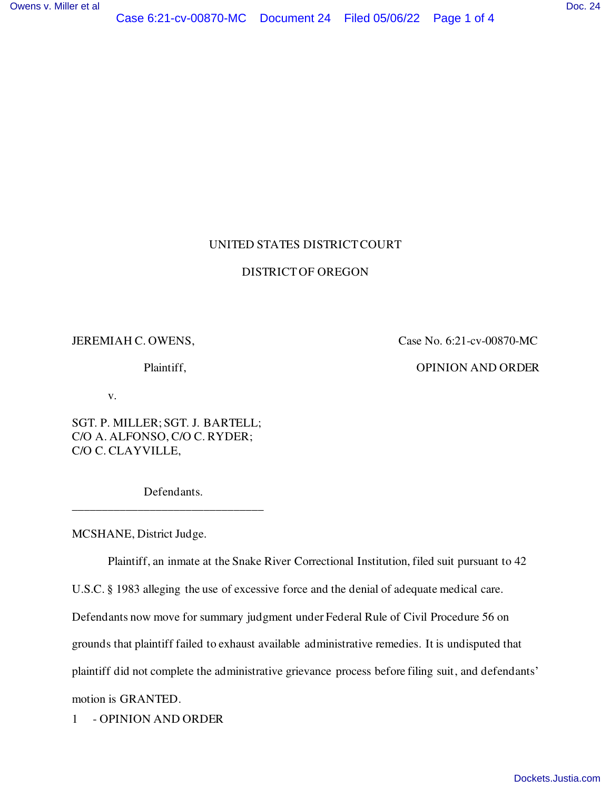# UNITED STATES DISTRICT COURT

### DISTRICT OF OREGON

JEREMIAH C. OWENS, Case No. 6:21-cv-00870-MC

Plaintiff, OPINION AND ORDER

v.

SGT. P. MILLER; SGT. J. BARTELL; C/O A. ALFONSO, C/O C. RYDER; C/O C. CLAYVILLE,

 Defendants. \_\_\_\_\_\_\_\_\_\_\_\_\_\_\_\_\_\_\_\_\_\_\_\_\_\_\_\_\_\_\_\_

MCSHANE, District Judge.

Plaintiff, an inmate at the Snake River Correctional Institution, filed suit pursuant to 42

U.S.C. § 1983 alleging the use of excessive force and the denial of adequate medical care.

Defendants now move for summary judgment under Federal Rule of Civil Procedure 56 on

grounds that plaintiff failed to exhaust available administrative remedies. It is undisputed that

plaintiff did not complete the administrative grievance process before filing suit, and defendants'

motion is GRANTED.

1 - OPINION AND ORDER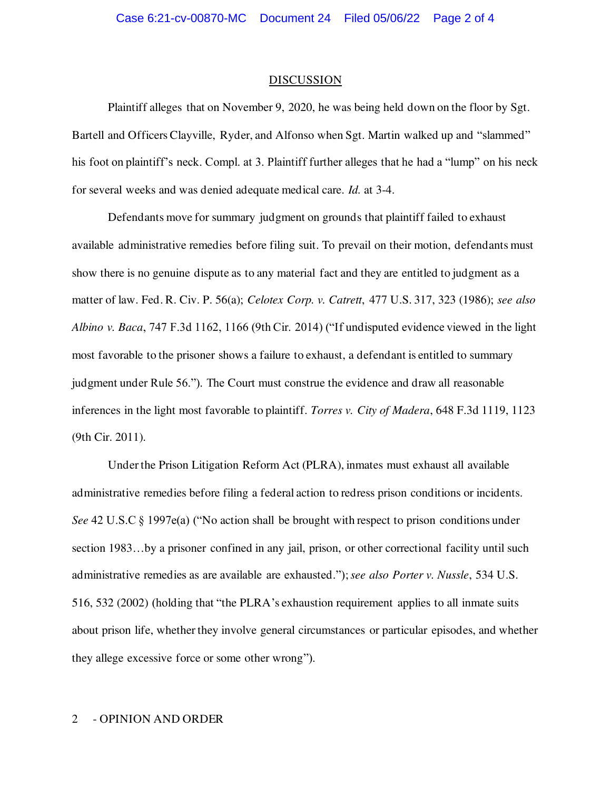#### DISCUSSION

Plaintiff alleges that on November 9, 2020, he was being held down on the floor by Sgt. Bartell and Officers Clayville, Ryder, and Alfonso when Sgt. Martin walked up and "slammed" his foot on plaintiff's neck. Compl. at 3. Plaintiff further alleges that he had a "lump" on his neck for several weeks and was denied adequate medical care. *Id.* at 3-4.

Defendants move for summary judgment on grounds that plaintiff failed to exhaust available administrative remedies before filing suit. To prevail on their motion, defendants must show there is no genuine dispute as to any material fact and they are entitled to judgment as a matter of law. Fed. R. Civ. P. 56(a); *Celotex Corp. v. Catrett*, 477 U.S. 317, 323 (1986); *see also Albino v. Baca*, 747 F.3d 1162, 1166 (9th Cir. 2014) ("If undisputed evidence viewed in the light most favorable to the prisoner shows a failure to exhaust, a defendant is entitled to summary judgment under Rule 56."). The Court must construe the evidence and draw all reasonable inferences in the light most favorable to plaintiff. *Torres v. City of Madera*, 648 F.3d 1119, 1123 (9th Cir. 2011).

Under the Prison Litigation Reform Act (PLRA), inmates must exhaust all available administrative remedies before filing a federal action to redress prison conditions or incidents. *See* 42 U.S.C § 1997e(a) ("No action shall be brought with respect to prison conditions under section 1983...by a prisoner confined in any jail, prison, or other correctional facility until such administrative remedies as are available are exhausted."); *see also Porter v. Nussle*, 534 U.S. 516, 532 (2002) (holding that "the PLRA's exhaustion requirement applies to all inmate suits about prison life, whether they involve general circumstances or particular episodes, and whether they allege excessive force or some other wrong").

## 2 - OPINION AND ORDER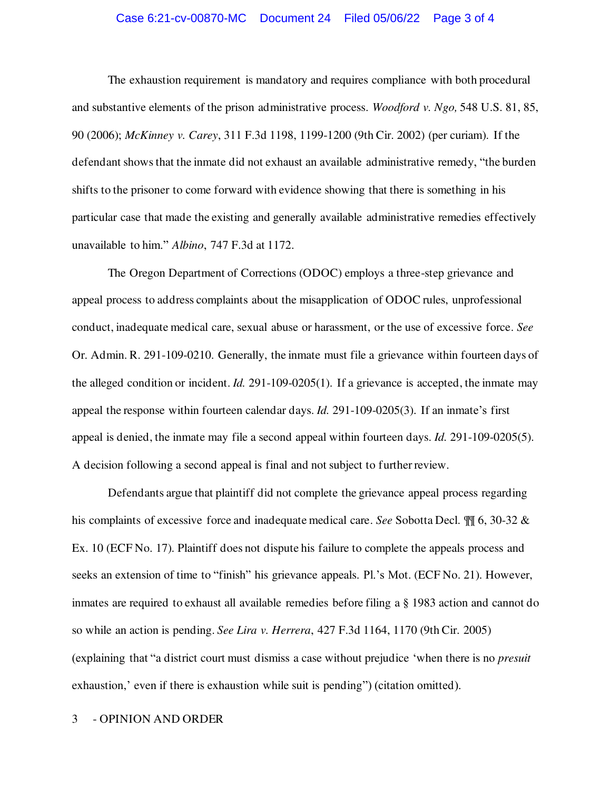#### Case 6:21-cv-00870-MC Document 24 Filed 05/06/22 Page 3 of 4

The exhaustion requirement is mandatory and requires compliance with both procedural and substantive elements of the prison administrative process. *Woodford v. Ngo,* 548 U.S. 81, 85, 90 (2006); *McKinney v. Carey*, 311 F.3d 1198, 1199-1200 (9th Cir. 2002) (per curiam). If the defendant shows that the inmate did not exhaust an available administrative remedy, "the burden shifts to the prisoner to come forward with evidence showing that there is something in his particular case that made the existing and generally available administrative remedies effectively unavailable to him." *Albino*, 747 F.3d at 1172.

The Oregon Department of Corrections (ODOC) employs a three-step grievance and appeal process to address complaints about the misapplication of ODOC rules, unprofessional conduct, inadequate medical care, sexual abuse or harassment, or the use of excessive force. *See*  Or. Admin. R. 291-109-0210. Generally, the inmate must file a grievance within fourteen days of the alleged condition or incident. *Id.* 291-109-0205(1). If a grievance is accepted, the inmate may appeal the response within fourteen calendar days. *Id.* 291-109-0205(3). If an inmate's first appeal is denied, the inmate may file a second appeal within fourteen days. *Id.* 291-109-0205(5). A decision following a second appeal is final and not subject to further review.

Defendants argue that plaintiff did not complete the grievance appeal process regarding his complaints of excessive force and inadequate medical care. *See* Sobotta Decl. ¶¶ 6, 30-32 & Ex. 10 (ECF No. 17). Plaintiff does not dispute his failure to complete the appeals process and seeks an extension of time to "finish" his grievance appeals. Pl.'s Mot. (ECF No. 21). However, inmates are required to exhaust all available remedies before filing a § 1983 action and cannot do so while an action is pending. *See Lira v. Herrera*, 427 F.3d 1164, 1170 (9th Cir. 2005) (explaining that "a district court must dismiss a case without prejudice 'when there is no *presuit* exhaustion,' even if there is exhaustion while suit is pending") (citation omitted).

# 3 - OPINION AND ORDER